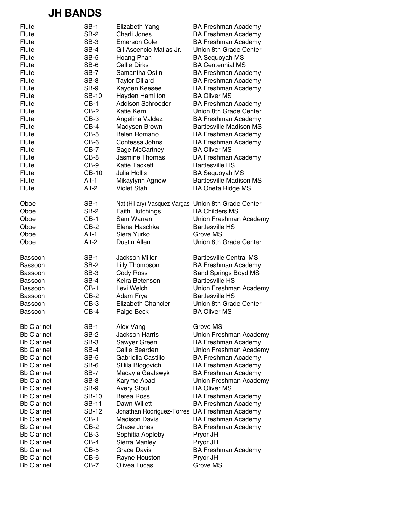## **JH BANDS**

| Flute              | <b>SB-1</b>  | Elizabeth Yang               | <b>BA Freshman Academy</b>                    |
|--------------------|--------------|------------------------------|-----------------------------------------------|
| Flute              | $SB-2$       | Charli Jones                 | <b>BA Freshman Academy</b>                    |
| Flute              | SB-3         | <b>Emerson Cole</b>          | <b>BA Freshman Academy</b>                    |
| Flute              | SB-4         | Gil Ascencio Matias Jr.      | Union 8th Grade Center                        |
| Flute              | SB-5         | Hoang Phan                   | <b>BA Sequoyah MS</b>                         |
|                    |              |                              | <b>BA Centennial MS</b>                       |
| Flute              | SB-6         | <b>Callie Dirks</b>          |                                               |
| Flute              | SB-7         | Samantha Ostin               | <b>BA Freshman Academy</b>                    |
| Flute              | SB-8         | <b>Taylor Dillard</b>        | <b>BA Freshman Academy</b>                    |
| Flute              | SB-9         | Kayden Keesee                | <b>BA Freshman Academy</b>                    |
| Flute              | <b>SB-10</b> | Hayden Hamilton              | <b>BA Oliver MS</b>                           |
| Flute              | $CB-1$       | Addison Schroeder            | <b>BA Freshman Academy</b>                    |
| Flute              | $CB-2$       | <b>Katie Kern</b>            | Union 8th Grade Center                        |
| Flute              | $CB-3$       | Angelina Valdez              | <b>BA Freshman Academy</b>                    |
| Flute              | $CB-4$       | Madysen Brown                | <b>Bartlesville Madison MS</b>                |
| Flute              | $CB-5$       | <b>Belen Romano</b>          | <b>BA Freshman Academy</b>                    |
| Flute              | CB-6         | Contessa Johns               | <b>BA Freshman Academy</b>                    |
| Flute              | $CB-7$       | Sage McCartney               | <b>BA Oliver MS</b>                           |
| Flute              | CB-8         | Jasmine Thomas               | <b>BA Freshman Academy</b>                    |
| Flute              | CB-9         | <b>Katie Tackett</b>         | <b>Bartlesville HS</b>                        |
| Flute              | CB-10        | Julia Hollis                 | <b>BA Sequoyah MS</b>                         |
| Flute              | Alt-1        | Mikaylynn Agnew              | <b>Bartlesville Madison MS</b>                |
|                    | Alt-2        | <b>Violet Stahl</b>          |                                               |
| Flute              |              |                              | <b>BA Oneta Ridge MS</b>                      |
| Oboe               | <b>SB-1</b>  | Nat (Hillary) Vasquez Vargas | Union 8th Grade Center                        |
| Oboe               | SB-2         | <b>Faith Hutchings</b>       | <b>BA Childers MS</b>                         |
| Oboe               | $CB-1$       | Sam Warren                   | Union Freshman Academy                        |
| Oboe               | CB-2         | Elena Haschke                | <b>Bartlesville HS</b>                        |
| Oboe               | Alt-1        | Siera Yurko                  | Grove MS                                      |
| Oboe               | Alt-2        | Dustin Allen                 | Union 8th Grade Center                        |
|                    |              |                              |                                               |
| Bassoon            | <b>SB-1</b>  | Jackson Miller               | <b>Bartlesville Central MS</b>                |
| Bassoon            | SB-2         | Lilly Thompson               | <b>BA Freshman Academy</b>                    |
| Bassoon            | SB-3         | Cody Ross                    | Sand Springs Boyd MS                          |
| Bassoon            | SB-4         | Keira Betenson               | <b>Bartlesville HS</b>                        |
| Bassoon            | $CB-1$       | Levi Welch                   | Union Freshman Academy                        |
| Bassoon            | $CB-2$       | Adam Frye                    | <b>Bartlesville HS</b>                        |
| Bassoon            | $CB-3$       | Elizabeth Chancler           | Union 8th Grade Center                        |
|                    | $CB-4$       |                              |                                               |
| Bassoon            |              | Paige Beck                   | <b>BA Oliver MS</b>                           |
| <b>Bb Clarinet</b> | <b>SB-1</b>  | Alex Vang                    | Grove MS                                      |
| <b>Bb Clarinet</b> | SB-2         | Jackson Harris               | Union Freshman Academy                        |
| <b>Bb Clarinet</b> | SB-3         | Sawyer Green                 | <b>BA Freshman Academy</b>                    |
| <b>Bb Clarinet</b> | SB-4         | Callie Bearden               | Union Freshman Academy                        |
| <b>Bb Clarinet</b> | SB-5         | Gabriella Castillo           | <b>BA Freshman Academy</b>                    |
| <b>Bb Clarinet</b> | SB-6         | SHila Blogovich              | <b>BA Freshman Academy</b>                    |
| <b>Bb Clarinet</b> | SB-7         | Macayla Gaalswyk             | <b>BA Freshman Academy</b>                    |
| <b>Bb Clarinet</b> | SB-8         | Karyme Abad                  |                                               |
| <b>Bb Clarinet</b> | SB-9         |                              | Union Freshman Academy<br><b>BA Oliver MS</b> |
|                    |              | <b>Avery Stout</b>           |                                               |
| <b>Bb Clarinet</b> | <b>SB-10</b> | <b>Berea Ross</b>            | <b>BA Freshman Academy</b>                    |
| <b>Bb Clarinet</b> | <b>SB-11</b> | Dawn Willett                 | <b>BA Freshman Academy</b>                    |
| <b>Bb Clarinet</b> | <b>SB-12</b> | Jonathan Rodriguez-Torres    | <b>BA Freshman Academy</b>                    |
| <b>Bb Clarinet</b> | $CB-1$       | <b>Madison Davis</b>         | <b>BA Freshman Academy</b>                    |
| <b>Bb Clarinet</b> | $CB-2$       | Chase Jones                  | <b>BA Freshman Academy</b>                    |
| <b>Bb Clarinet</b> | $CB-3$       | Sophitia Appleby             | Pryor JH                                      |
| <b>Bb Clarinet</b> | $CB-4$       | Sierra Manley                | Pryor JH                                      |
| <b>Bb Clarinet</b> | $CB-5$       | Grace Davis                  | <b>BA Freshman Academy</b>                    |
| <b>Bb Clarinet</b> | CB-6         | Rayne Houston                | Pryor JH                                      |
| <b>Bb Clarinet</b> | $CB-7$       | Olivea Lucas                 | Grove MS                                      |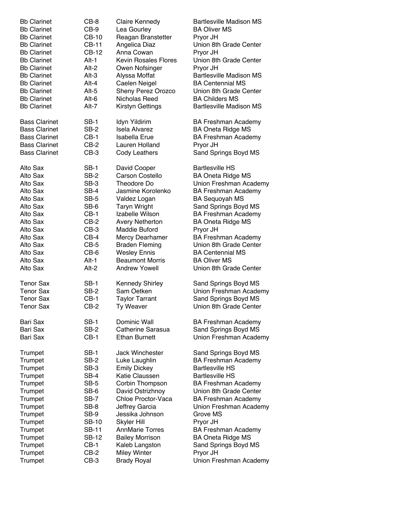| <b>Bb Clarinet</b>   | CB-8         | Claire Kennedy              | <b>Bartlesville Madison MS</b> |
|----------------------|--------------|-----------------------------|--------------------------------|
| <b>Bb Clarinet</b>   | CB-9         | Lea Gourley                 | <b>BA Oliver MS</b>            |
| <b>Bb Clarinet</b>   | CB-10        | Reagan Branstetter          | Pryor JH                       |
| <b>Bb Clarinet</b>   | CB-11        | Angelica Diaz               | Union 8th Grade Center         |
| <b>Bb Clarinet</b>   | CB-12        | Anna Cowan                  | Pryor JH                       |
| <b>Bb Clarinet</b>   | $Alt-1$      | <b>Kevin Rosales Flores</b> | Union 8th Grade Center         |
| <b>Bb Clarinet</b>   | Alt-2        | Owen Nofsinger              | Pryor JH                       |
| <b>Bb Clarinet</b>   |              |                             | <b>Bartlesville Madison MS</b> |
|                      | Alt-3        | Alyssa Moffat               |                                |
| <b>Bb Clarinet</b>   | Alt-4        | Caelen Neigel               | <b>BA Centennial MS</b>        |
| <b>Bb Clarinet</b>   | Alt-5        | <b>Sheny Perez Orozco</b>   | Union 8th Grade Center         |
| <b>Bb Clarinet</b>   | Alt-6        | Nicholas Reed               | <b>BA Childers MS</b>          |
| <b>Bb Clarinet</b>   | Alt-7        | Kirstyn Gettings            | <b>Bartlesville Madison MS</b> |
| <b>Bass Clarinet</b> | SB-1         | Idyn Yildirim               | <b>BA Freshman Academy</b>     |
| <b>Bass Clarinet</b> | SB-2         | <b>Isela Alvarez</b>        | <b>BA Oneta Ridge MS</b>       |
| <b>Bass Clarinet</b> | $CB-1$       | <b>Isabella Erue</b>        | <b>BA Freshman Academy</b>     |
| <b>Bass Clarinet</b> | $CB-2$       | Lauren Holland              | Pryor JH                       |
| <b>Bass Clarinet</b> | $CB-3$       | <b>Cody Leathers</b>        | Sand Springs Boyd MS           |
| Alto Sax             | SB-1         | David Cooper                | <b>Bartlesville HS</b>         |
| Alto Sax             | SB-2         | Carson Costello             | <b>BA Oneta Ridge MS</b>       |
| Alto Sax             | SB-3         | Theodore Do                 | Union Freshman Academy         |
|                      |              |                             |                                |
| Alto Sax             | SB-4         | Jasmine Korolenko           | <b>BA Freshman Academy</b>     |
| Alto Sax             | SB-5         | Valdez Logan                | <b>BA Sequoyah MS</b>          |
| Alto Sax             | SB-6         | <b>Taryn Wright</b>         | Sand Springs Boyd MS           |
| Alto Sax             | $CB-1$       | Izabelle Wilson             | <b>BA Freshman Academy</b>     |
| Alto Sax             | CB-2         | <b>Avery Netherton</b>      | <b>BA Oneta Ridge MS</b>       |
| Alto Sax             | CB-3         | Maddie Buford               | Pryor JH                       |
| Alto Sax             | $CB-4$       | Mercy Dearhamer             | <b>BA Freshman Academy</b>     |
| Alto Sax             | CB-5         | <b>Braden Fleming</b>       | Union 8th Grade Center         |
| Alto Sax             | CB-6         | <b>Wesley Ennis</b>         | <b>BA Centennial MS</b>        |
| Alto Sax             | Alt-1        | <b>Beaumont Morris</b>      | <b>BA Oliver MS</b>            |
| Alto Sax             | Alt-2        | <b>Andrew Yowell</b>        | Union 8th Grade Center         |
| <b>Tenor Sax</b>     | <b>SB-1</b>  | <b>Kennedy Shirley</b>      | Sand Springs Boyd MS           |
| <b>Tenor Sax</b>     | SB-2         | Sam Oetken                  | Union Freshman Academy         |
| <b>Tenor Sax</b>     | $CB-1$       | <b>Taylor Tarrant</b>       | Sand Springs Boyd MS           |
| <b>Tenor Sax</b>     | $CB-2$       | Ty Weaver                   | Union 8th Grade Center         |
| Bari Sax             | <b>SB-1</b>  | Dominic Wall                |                                |
|                      |              |                             | <b>BA Freshman Academy</b>     |
| Bari Sax             | SB-2         | Catherine Sarasua           | Sand Springs Boyd MS           |
| Bari Sax             | $CB-1$       | <b>Ethan Burnett</b>        | Union Freshman Academy         |
| Trumpet              | <b>SB-1</b>  | Jack Winchester             | Sand Springs Boyd MS           |
| Trumpet              | SB-2         | Luke Laughlin               | <b>BA Freshman Academy</b>     |
| Trumpet              | SB-3         | <b>Emily Dickey</b>         | <b>Bartlesville HS</b>         |
| Trumpet              | SB-4         | Katie Claussen              | <b>Bartlesville HS</b>         |
| Trumpet              | SB-5         | Corbin Thompson             | <b>BA Freshman Academy</b>     |
| Trumpet              | SB-6         | David Ostrizhnoy            | Union 8th Grade Center         |
| Trumpet              | SB-7         | Chloe Proctor-Vaca          | <b>BA Freshman Academy</b>     |
| Trumpet              | SB-8         | Jeffrey Garcia              | Union Freshman Academy         |
| Trumpet              | SB-9         | Jessika Johnson             | Grove MS                       |
| Trumpet              | <b>SB-10</b> | <b>Skyler Hill</b>          | Pryor JH                       |
| Trumpet              | <b>SB-11</b> | <b>AnnMarie Torres</b>      | <b>BA Freshman Academy</b>     |
| Trumpet              | <b>SB-12</b> | <b>Bailey Morrison</b>      | <b>BA Oneta Ridge MS</b>       |
| Trumpet              | $CB-1$       | Kaleb Langston              | Sand Springs Boyd MS           |
|                      | $CB-2$       |                             |                                |
| Trumpet              |              | <b>Miley Winter</b>         | Pryor JH                       |
| Trumpet              | $CB-3$       | <b>Brady Royal</b>          | Union Freshman Academy         |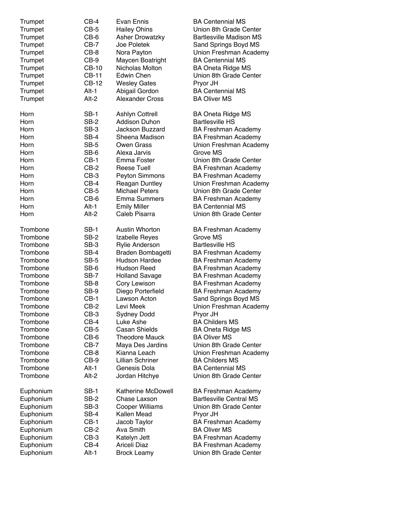| Trumpet<br>Trumpet<br>Trumpet<br>Trumpet<br>Trumpet<br>Trumpet<br>Trumpet<br>Trumpet<br>Trumpet<br>Trumpet<br>Trumpet | $CB-4$<br>$CB-5$<br>$CB-6$<br>CB-7<br>$CB-8$<br>$CB-9$<br><b>CB-10</b><br><b>CB-11</b><br>CB-12<br>Alt-1<br>Alt-2 | Evan Ennis<br><b>Hailey Ohins</b><br><b>Asher Drowatzky</b><br>Joe Poletek<br>Nora Payton<br>Maycen Boatright<br>Nicholas Molton<br>Edwin Chen<br><b>Wesley Gates</b><br>Abigail Gordon<br>Alexander Cross | <b>BA Centennial MS</b><br>Union 8th Grade Center<br><b>Bartlesville Madison MS</b><br>Sand Springs Boyd MS<br>Union Freshman Academy<br><b>BA Centennial MS</b><br><b>BA Oneta Ridge MS</b><br>Union 8th Grade Center<br>Pryor JH<br><b>BA Centennial MS</b><br><b>BA Oliver MS</b> |
|-----------------------------------------------------------------------------------------------------------------------|-------------------------------------------------------------------------------------------------------------------|------------------------------------------------------------------------------------------------------------------------------------------------------------------------------------------------------------|--------------------------------------------------------------------------------------------------------------------------------------------------------------------------------------------------------------------------------------------------------------------------------------|
| Horn                                                                                                                  | <b>SB-1</b>                                                                                                       | <b>Ashlyn Cottrell</b>                                                                                                                                                                                     | <b>BA Oneta Ridge MS</b>                                                                                                                                                                                                                                                             |
| Horn                                                                                                                  | SB-2                                                                                                              | <b>Addison Duhon</b>                                                                                                                                                                                       | <b>Bartlesville HS</b>                                                                                                                                                                                                                                                               |
| Horn                                                                                                                  | SB-3                                                                                                              | <b>Jackson Buzzard</b>                                                                                                                                                                                     | <b>BA Freshman Academy</b>                                                                                                                                                                                                                                                           |
| Horn                                                                                                                  | SB-4                                                                                                              | Sheena Madison                                                                                                                                                                                             | <b>BA Freshman Academy</b>                                                                                                                                                                                                                                                           |
| Horn                                                                                                                  | SB-5                                                                                                              | <b>Owen Grass</b>                                                                                                                                                                                          | Union Freshman Academy                                                                                                                                                                                                                                                               |
| Horn                                                                                                                  | SB-6                                                                                                              | Alexa Jarvis                                                                                                                                                                                               | Grove MS                                                                                                                                                                                                                                                                             |
| Horn                                                                                                                  | $CB-1$                                                                                                            | Emma Foster                                                                                                                                                                                                | Union 8th Grade Center                                                                                                                                                                                                                                                               |
| Horn                                                                                                                  | $CB-2$                                                                                                            | <b>Reese Tuell</b>                                                                                                                                                                                         | <b>BA Freshman Academy</b>                                                                                                                                                                                                                                                           |
| Horn                                                                                                                  | $CB-3$                                                                                                            | Peyton Simmons                                                                                                                                                                                             | <b>BA Freshman Academy</b>                                                                                                                                                                                                                                                           |
| Horn                                                                                                                  | $CB-4$                                                                                                            | <b>Reagan Duntley</b>                                                                                                                                                                                      | Union Freshman Academy                                                                                                                                                                                                                                                               |
| Horn                                                                                                                  | $CB-5$                                                                                                            | <b>Michael Peters</b>                                                                                                                                                                                      | Union 8th Grade Center                                                                                                                                                                                                                                                               |
| Horn                                                                                                                  | $CB-6$                                                                                                            | <b>Emma Summers</b>                                                                                                                                                                                        | <b>BA Freshman Academy</b>                                                                                                                                                                                                                                                           |
| Horn                                                                                                                  | $Alt-1$                                                                                                           | <b>Emily Miller</b>                                                                                                                                                                                        | <b>BA Centennial MS</b>                                                                                                                                                                                                                                                              |
| Horn                                                                                                                  | Alt-2                                                                                                             | Caleb Pisarra                                                                                                                                                                                              | Union 8th Grade Center                                                                                                                                                                                                                                                               |
| Trombone                                                                                                              | <b>SB-1</b>                                                                                                       | Austin Whorton                                                                                                                                                                                             | <b>BA Freshman Academy</b>                                                                                                                                                                                                                                                           |
| Trombone                                                                                                              | SB-2                                                                                                              | Izabelle Reyes                                                                                                                                                                                             | Grove MS                                                                                                                                                                                                                                                                             |
| Trombone                                                                                                              | SB-3                                                                                                              | Rylie Anderson                                                                                                                                                                                             | <b>Bartlesville HS</b>                                                                                                                                                                                                                                                               |
| Trombone                                                                                                              | SB-4                                                                                                              | Braden Bombagetti                                                                                                                                                                                          | <b>BA Freshman Academy</b>                                                                                                                                                                                                                                                           |
| Trombone                                                                                                              | SB-5                                                                                                              | Hudson Hardee                                                                                                                                                                                              | <b>BA Freshman Academy</b>                                                                                                                                                                                                                                                           |
| Trombone                                                                                                              | SB-6                                                                                                              | Hudson Reed                                                                                                                                                                                                | <b>BA Freshman Academy</b>                                                                                                                                                                                                                                                           |
| Trombone                                                                                                              | SB-7                                                                                                              | <b>Holland Savage</b>                                                                                                                                                                                      | <b>BA Freshman Academy</b>                                                                                                                                                                                                                                                           |
| Trombone                                                                                                              | SB-8                                                                                                              | Cory Lewison                                                                                                                                                                                               | <b>BA Freshman Academy</b>                                                                                                                                                                                                                                                           |
| Trombone                                                                                                              | SB-9                                                                                                              | Diego Porterfield                                                                                                                                                                                          | <b>BA Freshman Academy</b>                                                                                                                                                                                                                                                           |
| Trombone                                                                                                              | $CB-1$                                                                                                            | Lawson Acton                                                                                                                                                                                               | Sand Springs Boyd MS                                                                                                                                                                                                                                                                 |
| Trombone                                                                                                              | $CB-2$                                                                                                            | Levi Meek                                                                                                                                                                                                  | Union Freshman Academy                                                                                                                                                                                                                                                               |
| Trombone                                                                                                              | $CB-3$                                                                                                            | Sydney Dodd                                                                                                                                                                                                | Pryor JH                                                                                                                                                                                                                                                                             |
| Trombone                                                                                                              | $CB-4$                                                                                                            | Luke Ashe                                                                                                                                                                                                  | <b>BA Childers MS</b>                                                                                                                                                                                                                                                                |
| Trombone                                                                                                              | $CB-5$                                                                                                            | <b>Casan Shields</b>                                                                                                                                                                                       | <b>BA Oneta Ridge MS</b>                                                                                                                                                                                                                                                             |
| Trombone                                                                                                              | $CB-6$                                                                                                            | <b>Theodore Mauck</b>                                                                                                                                                                                      | <b>BA Oliver MS</b>                                                                                                                                                                                                                                                                  |
| Trombone                                                                                                              | $CB-7$                                                                                                            | Maya Des Jardins                                                                                                                                                                                           | Union 8th Grade Center                                                                                                                                                                                                                                                               |
| Trombone                                                                                                              | $CB-8$                                                                                                            | Kianna Leach                                                                                                                                                                                               | Union Freshman Academy                                                                                                                                                                                                                                                               |
| Trombone                                                                                                              | $CB-9$                                                                                                            | <b>Lillian Schriner</b>                                                                                                                                                                                    | <b>BA Childers MS</b>                                                                                                                                                                                                                                                                |
| Trombone                                                                                                              | Alt-1                                                                                                             | Genesis Dola                                                                                                                                                                                               | <b>BA Centennial MS</b>                                                                                                                                                                                                                                                              |
| Trombone                                                                                                              | Alt-2                                                                                                             | Jordan Hitchye                                                                                                                                                                                             | Union 8th Grade Center                                                                                                                                                                                                                                                               |
| Euphonium                                                                                                             | SB-1                                                                                                              | Katherine McDowell                                                                                                                                                                                         | <b>BA Freshman Academy</b>                                                                                                                                                                                                                                                           |
| Euphonium                                                                                                             | SB-2                                                                                                              | Chase Laxson                                                                                                                                                                                               | <b>Bartlesville Central MS</b>                                                                                                                                                                                                                                                       |
| Euphonium                                                                                                             | SB-3                                                                                                              | Cooper Williams                                                                                                                                                                                            | Union 8th Grade Center                                                                                                                                                                                                                                                               |
| Euphonium                                                                                                             | SB-4                                                                                                              | Kallen Mead                                                                                                                                                                                                | Pryor JH                                                                                                                                                                                                                                                                             |
| Euphonium                                                                                                             | $CB-1$                                                                                                            | Jacob Taylor                                                                                                                                                                                               | <b>BA Freshman Academy</b>                                                                                                                                                                                                                                                           |
| Euphonium                                                                                                             | $CB-2$                                                                                                            | Ava Smith                                                                                                                                                                                                  | <b>BA Oliver MS</b>                                                                                                                                                                                                                                                                  |
| Euphonium                                                                                                             | $CB-3$                                                                                                            | Katelyn Jett                                                                                                                                                                                               | <b>BA Freshman Academy</b>                                                                                                                                                                                                                                                           |
| Euphonium                                                                                                             | $CB-4$                                                                                                            | Ariceli Diaz                                                                                                                                                                                               | <b>BA Freshman Academy</b>                                                                                                                                                                                                                                                           |
| Euphonium                                                                                                             | Alt-1                                                                                                             | <b>Brock Leamy</b>                                                                                                                                                                                         | Union 8th Grade Center                                                                                                                                                                                                                                                               |